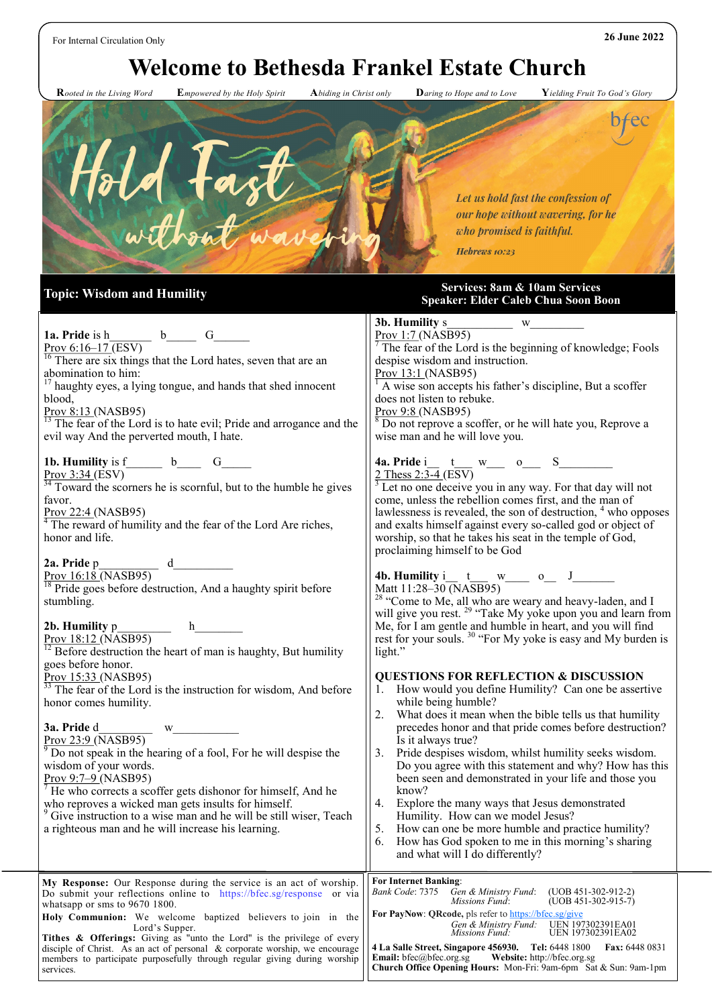## For Internal Circulation Only **26 June 2022**

## **Welcome to Bethesda Frankel Estate Church**

 **R***ooted in the Living Word* **E***mpowered by the Holy Spirit* **A***biding in Christ only* **D***aring to Hope and to Love* **Y***ielding Fruit To God's Glory*



**Topic: Wisdom and Humility Services: 8am & 10am Services Speaker: Elder Caleb Chua Soon Boon** 

| 1a. Pride is $h$ b G<br>$Prov 6:16-17(ESV)$                                                                                                                                                                                                                          | W<br>$\frac{\text{Prou 1:7 (NASB95)}}{7 \text{The f.}}$<br>$\frac{7}{7}$ The fear of the Lord is the beginning of knowledge; Fools                                                                                                                                                                                                                                                                                                         |
|----------------------------------------------------------------------------------------------------------------------------------------------------------------------------------------------------------------------------------------------------------------------|--------------------------------------------------------------------------------------------------------------------------------------------------------------------------------------------------------------------------------------------------------------------------------------------------------------------------------------------------------------------------------------------------------------------------------------------|
| $\frac{16}{16}$ There are six things that the Lord hates, seven that are an<br>abomination to him:                                                                                                                                                                   | despise wisdom and instruction.<br>Prov 13:1 (NASB95)                                                                                                                                                                                                                                                                                                                                                                                      |
| <sup>17</sup> haughty eyes, a lying tongue, and hands that shed innocent<br>blood,<br>$Prov 8:13 (NASB95)$<br>$\overline{^{13}}$ The fear of the Lord is to hate evil; Pride and arrogance and the                                                                   | A wise son accepts his father's discipline, But a scoffer<br>does not listen to rebuke.<br>Prov 9:8 (NASB95)<br><sup>8</sup> Do not reprove a scoffer, or he will hate you, Reprove a                                                                                                                                                                                                                                                      |
| evil way And the perverted mouth, I hate.                                                                                                                                                                                                                            | wise man and he will love you.                                                                                                                                                                                                                                                                                                                                                                                                             |
| 1b. Humility is $f$ b_ G_ G_<br>Prov $3:34$ (ESV)<br>$\frac{34}{10}$ Toward the scorners he is scornful, but to the humble he gives<br>favor.<br>$Prov 22:4 (NASB95)$<br><sup>4</sup> The reward of humility and the fear of the Lord Are riches,<br>honor and life. | 4a. Pride i_t_w_ w_ o_ S_____<br>$\sqrt{2 \text{ Thess } 2:3-4}$ (ESV)<br>$\frac{1}{3}$ Let no one deceive you in any way. For that day will not<br>come, unless the rebellion comes first, and the man of<br>lawlessness is revealed, the son of destruction, $4$ who opposes<br>and exalts himself against every so-called god or object of<br>worship, so that he takes his seat in the temple of God,<br>proclaiming himself to be God |
| 2a. Pride p<br>$\frac{\text{Prov }16:18 \text{ (NASB95)}}{\text{O}}$ d<br>$\frac{18}{18}$ Pride goes before destruction, And a haughty spirit before<br>stumbling.                                                                                                   | <b>4b. Humility</b> i_t_ w___ o_ J_____<br>Matt 11:28-30 (NASB95)<br><sup>28</sup> "Come to Me, all who are weary and heavy-laden, and I will give you rest. <sup>29</sup> "Take My yoke upon you and learn from                                                                                                                                                                                                                           |
| 2b. Humility p<br>$\frac{\text{Prov }18:12 \text{ (NASB95)}}{\text{Ov}}$ h<br>$\frac{12}{12}$ Before destruction the heart of man is haughty, But humility<br>goes before honor.                                                                                     | Me, for I am gentle and humble in heart, and you will find<br>rest for your souls. $30$ "For My yoke is easy and My burden is<br>light."                                                                                                                                                                                                                                                                                                   |
| Prov 15:33 (NASB95)<br>$\frac{33}{13}$ The fear of the Lord is the instruction for wisdom, And before<br>honor comes humility.                                                                                                                                       | <b>QUESTIONS FOR REFLECTION &amp; DISCUSSION</b><br>How would you define Humility? Can one be assertive<br>1.<br>while being humble?<br>What does it mean when the bible tells us that humility<br>2.                                                                                                                                                                                                                                      |
| 3a. Pride d<br>Prov 23:9 (NASB95)<br>Do not speak in the hearing of a fool, For he will despise the                                                                                                                                                                  | precedes honor and that pride comes before destruction?<br>Is it always true?<br>Pride despises wisdom, whilst humility seeks wisdom.<br>3.                                                                                                                                                                                                                                                                                                |
| wisdom of your words.<br>Prov $9:7-9$ (NASB95)<br>$7$ He who corrects a scoffer gets dishonor for himself, And he                                                                                                                                                    | Do you agree with this statement and why? How has this<br>been seen and demonstrated in your life and those you<br>know?                                                                                                                                                                                                                                                                                                                   |
| who reproves a wicked man gets insults for himself.<br><sup>9</sup> Give instruction to a wise man and he will be still wiser, Teach<br>a righteous man and he will increase his learning.                                                                           | 4. Explore the many ways that Jesus demonstrated<br>Humility. How can we model Jesus?<br>5. How can one be more humble and practice humility?<br>6.<br>How has God spoken to me in this morning's sharing<br>and what will I do differently?                                                                                                                                                                                               |
| My Response: Our Response during the service is an act of worship.<br>Do submit your reflections online to https://bfec.sg/response or via<br>whatsapp or sms to 9670 1800.                                                                                          | <b>For Internet Banking:</b><br>Bank Code: 7375<br>Gen & Ministry Fund:<br>$(UOB 451-302-912-2)$<br><i>Missions Fund:</i><br>$(UOB 451-302-915-7)$                                                                                                                                                                                                                                                                                         |
| Holy Communion: We welcome baptized believers to join in the<br>Lord's Supper.                                                                                                                                                                                       | For PayNow: QRcode, pls refer to https://bfec.sg/give<br>UEN 197302391EA01<br>Gen & Ministry Fund:<br><b>UEN 197302391EA02</b><br><i>Missions Fund:</i>                                                                                                                                                                                                                                                                                    |
| Tithes & Offerings: Giving as "unto the Lord" is the privilege of every<br>disciple of Christ. As an act of personal & corporate worship, we encourage<br>members to participate purposefully through regular giving during worship<br>services.                     | 4 La Salle Street, Singapore 456930. Tel: 6448 1800<br><b>Fax:</b> 6448 0831<br><b>Email:</b> bfec@bfec.org.sg<br>Website: http://bfec.org.sg<br>Church Office Opening Hours: Mon-Fri: 9am-6pm Sat & Sun: 9am-1pm                                                                                                                                                                                                                          |